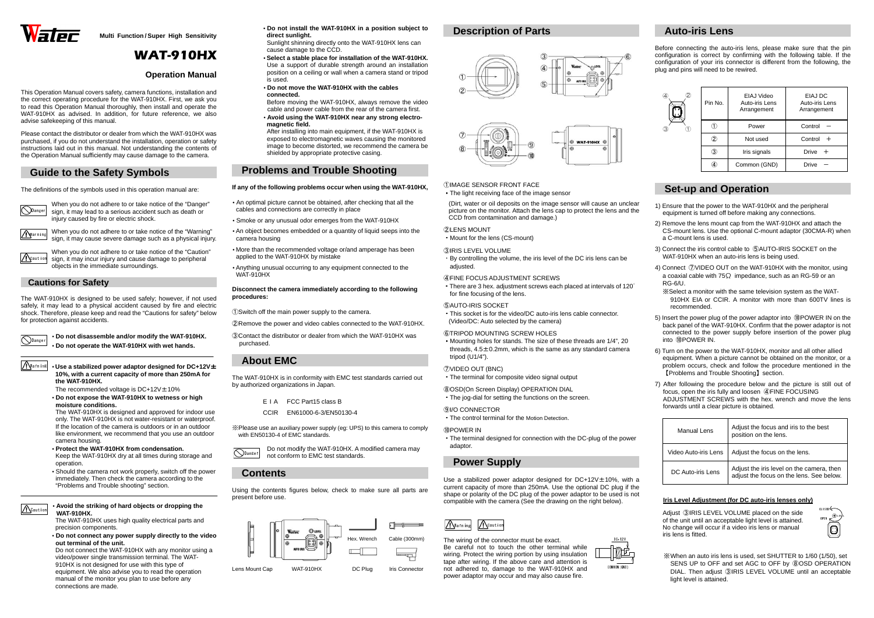



**Multi Function / Super High Sensitivity** 

# WAT-910HX

### **Operation Manual**

This Operation Manual covers safety, camera functions, installation and the correct operating procedure for the WAT-910HX. First, we ask you to read this Operation Manual thoroughly, then install and operate the WAT-910HX as advised. In addition, for future reference, we also advise safekeeping of this manual.

Please contact the distributor or dealer from which the WAT-910HX was purchased, if you do not understand the installation, operation or safety instructions laid out in this manual. Not understanding the contents of the Operation Manual sufficiently may cause damage to the camera.

## **Guide to the Safety Symbols**

The definitions of the symbols used in this operation manual are:



When you do not adhere to or take notice of the "Danger" sign, it may lead to a serious accident such as death or injury caused by fire or electric shock.

Warning

When you do not adhere to or take notice of the "Warning" sign, it may cause severe damage such as a physical injury.

### **Cautions for Safety**

The WAT-910HX is designed to be used safely; however, if not used safely, it may lead to a physical accident caused by fire and electric shock. Therefore, please keep and read the "Cautions for safety" below for protection against accidents.

> • **Do not disassemble and/or modify the WAT-910HX.** • **Do not operate the WAT-910HX with wet hands.**

Warning

• **Use a stabilized power adaptor designed for DC+12V**<sup>±</sup> **10%, with a current capacity of more than 250mA for the WAT-910HX.** 

The recommended voltage is  $DC+12V \pm 10\%$ 

 • **Do not expose the WAT-910HX to wetness or high moisture conditions.** 

 The WAT-910HX is designed and approved for indoor use only. The WAT-910HX is not water-resistant or waterproof. If the location of the camera is outdoors or in an outdoor like environment, we recommend that you use an outdoor camera housing.

 • **Protect the WAT-910HX from condensation.**  Keep the WAT-910HX dry at all times during storage and operation.

 • Should the camera not work properly, switch off the power immediately. Then check the camera according to the "Problems and Trouble shooting" section.

• **Avoid the striking of hard objects or dropping the WAT-910HX.** 

Danger Do not modify the WAT-910HX. A modified camera may not conform to EMC test standards.

 The WAT-910HX uses high quality electrical parts and precision components.

 • **Do not connect any power supply directly to the video out terminal of the unit.**

 Do not connect the WAT-910HX with any monitor using a video/power single transmission terminal. The WAT-910HX is not designed for use with this type of equipment. We also advise you to read the operation manual of the monitor you plan to use before any connections are made.

• There are 3 hex. adjustment screws each placed at intervals of 120 $^{\circ}$ for fine focusing of the lens.

- **Do not install the WAT-910HX in a position subject to direct sunlight.**
- Sunlight shinning directly onto the WAT-910HX lens can cause damage to the CCD.
- **Select a stable place for installation of the WAT-910HX.**  Use a support of durable strength around an installation position on a ceiling or wall when a camera stand or tripod is used.
- **Do not move the WAT-910HX with the cables connected.**

 Before moving the WAT-910HX, always remove the video cable and power cable from the rear of the camera first.

 • **Avoid using the WAT-910HX near any strong electromagnetic field.** 

 After installing into main equipment, if the WAT-910HX is exposed to electromagnetic waves causing the monitored image to become distorted, we recommend the camera be shielded by appropriate protective casing.

## **Problems and Trouble Shooting**

**If any of the following problems occur when using the WAT-910HX,** 

- An optimal picture cannot be obtained, after checking that all the cables and connections are correctly in place
- Smoke or any unusual odor emerges from the WAT-910HX
- An object becomes embedded or a quantity of liquid seeps into the camera housing
- More than the recommended voltage or/and amperage has been applied to the WAT-910HX by mistake
- Anything unusual occurring to any equipment connected to the WAT-910HX

**Disconnect the camera immediately according to the following procedures:** 

①Switch off the main power supply to the camera.

②Remove the power and video cables connected to the WAT-910HX.

 ③Contact the distributor or dealer from which the WAT-910HX was purchased.

## **About EMC**

The WAT-910HX is in conformity with EMC test standards carried out by authorized organizations in Japan.

E <sup>I</sup> A FCC Part15 class B

CCIR EN61000-6-3/EN50130-4

※Please use an auxiliary power supply (eg: UPS) to this camera to comply with EN50130-4 of EMC standards.

## **Contents**

Using the contents figures below, check to make sure all parts are present before use.

## **Description of Parts**







①IMAGE SENSOR FRONT FACE

- ・The light receiving face of the image sensor
- (Dirt, water or oil deposits on the image sensor will cause an unclear picture on the monitor. Attach the lens cap to protect the lens and the CCD from contamination and damage.)

When you do not adhere to or take notice of the "Caution" sign, it may incur injury and cause damage to peripheral objects in the immediate surroundings. Caution

②LENS MOUNT

| ՋLENS MOUNT                     |  |
|---------------------------------|--|
|                                 |  |
| • Mount for the lens (CS-mount) |  |

 ③IRIS LEVEL VOLUME ・By controlling the volume, the iris level of the DC iris lens can be

adjusted.

④FINE FOCUS ADJUSTMENT SCREWS

#### ⑤AUTO-IRIS SOCKET

 ・This socket is for the video/DC auto-iris lens cable connector. (Video/DC: Auto selected by the camera)

#### ⑥TRIPOD MOUNTING SCREW HOLES

 ・Mounting holes for stands. The size of these threads are 1/4", 20 threads,  $4.5\pm0.2$ mm, which is the same as any standard camera tripod (U1/4").

#### ⑦VIDEO OUT (BNC)

・The terminal for composite video signal output

⑧OSD(On Screen Display) OPERATION DIAL

・The jog-dial for setting the functions on the screen.

#### ⑨I/O CONNECTOR

・The control terminal for the Motion Detection.

#### ⑩POWER IN

 ・The terminal designed for connection with the DC-plug of the power adaptor.

### **Power Supply**

Use a stabilized power adaptor designed for DC+12V±10%, with a current capacity of more than 250mA. Use the optional DC plug if the shape or polarity of the DC plug of the power adaptor to be used is not compatible with the camera (See the drawing on the right below).

The wiring of the connector must be exact. Be careful not to touch the other terminal while wiring. Protect the wiring portion by using insulation tape after wiring. If the above care and attention is not adhered to, damage to the WAT-910HX and power adaptor may occur and may also cause fire.

## **Auto-iris Lens**

Before connecting the auto-iris lens, please make sure that the pin configuration is correct by confirming with the following table. If the configuration of your iris connector is different from the following, the plug and pins will need to be rewired.

| Pin No. | EIAJ Video<br>Auto-iris Lens<br>Arrangement | EIAJ DC<br>Auto-iris Lens<br>Arrangement |  |
|---------|---------------------------------------------|------------------------------------------|--|
| U       | Power                                       | Control                                  |  |
| 2       | Not used                                    | Control                                  |  |
| 3)      | Iris signals                                | Drive<br>$^{+}$                          |  |
|         | Common (GND)                                | Drive                                    |  |



### **Set-up and Operation**

- 1) Ensure that the power to the WAT-910HX and the peripheral equipment is turned off before making any connections.
- 2) Remove the lens mount cap from the WAT-910HX and attach the CS-mount lens. Use the optional C-mount adaptor (30CMA-R) when a C-mount lens is used.
- 3) Connect the iris control cable to ⑤AUTO-IRIS SOCKET on the WAT-910HX when an auto-iris lens is being used.
- 4) Connect ⑦VIDEO OUT on the WAT-910HX with the monitor, using a coaxial cable with 75 $\Omega$  impedance, such as an RG-59 or an RG-6/U.
- ※Select a monitor with the same television system as the WAT-910HX EIA or CCIR. A monitor with more than 600TV lines is recommended.
- 5) Insert the power plug of the power adaptor into ⑩POWER IN on the back panel of the WAT-910HX. Confirm that the power adaptor is not connected to the power supply before insertion of the power plug into ⑩POWER IN.
- 6) Turn on the power to the WAT-910HX, monitor and all other allied equipment. When a picture cannot be obtained on the monitor, or a problem occurs, check and follow the procedure mentioned in the【Problems and Trouble Shooting】section.
- 7) After following the procedure below and the picture is still out of focus, open the iris fully and loosen ④FINE FOCUSING ADJUSTMENT SCREWS with the hex. wrench and move the lens forwards until a clear picture is obtained.

| Manual Lens          | Adjust the focus and iris to the best<br>position on the lens.                        |  |
|----------------------|---------------------------------------------------------------------------------------|--|
| Video Auto-iris Lens | Adjust the focus on the lens.                                                         |  |
| DC Auto-iris Lens    | Adjust the iris level on the camera, then<br>adjust the focus on the lens. See below. |  |

#### **Iris Level Adjustment (for DC auto-iris lenses only)**

Adjust ③IRIS LEVEL VOLUME placed on the side of the unit until an acceptable light level is attained. No change will occur if a video iris lens or manual iris lens is fitted.

※When an auto iris lens is used, set SHUTTER to 1/60 (1/50), set SENS UP to OFF and set AGC to OFF by ⑧OSD OPERATION DIAL. Then adjust ③IRIS LEVEL VOLUME until an acceptable light level is attained.